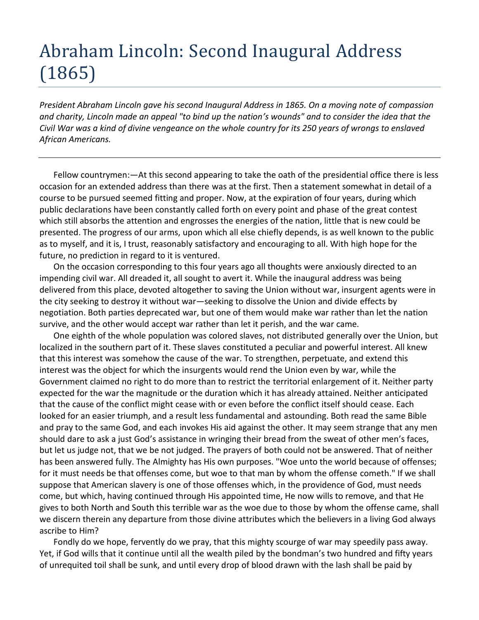## Abraham Lincoln: Second Inaugural Address (1865)

*President Abraham Lincoln gave his second Inaugural Address in 1865. On a moving note of compassion and charity, Lincoln made an appeal "to bind up the nation's wounds" and to consider the idea that the Civil War was a kind of divine vengeance on the whole country for its 250 years of wrongs to enslaved African Americans.*

Fellow countrymen:—At this second appearing to take the oath of the presidential office there is less occasion for an extended address than there was at the first. Then a statement somewhat in detail of a course to be pursued seemed fitting and proper. Now, at the expiration of four years, during which public declarations have been constantly called forth on every point and phase of the great contest which still absorbs the attention and engrosses the energies of the nation, little that is new could be presented. The progress of our arms, upon which all else chiefly depends, is as well known to the public as to myself, and it is, I trust, reasonably satisfactory and encouraging to all. With high hope for the future, no prediction in regard to it is ventured.

On the occasion corresponding to this four years ago all thoughts were anxiously directed to an impending civil war. All dreaded it, all sought to avert it. While the inaugural address was being delivered from this place, devoted altogether to saving the Union without war, insurgent agents were in the city seeking to destroy it without war—seeking to dissolve the Union and divide effects by negotiation. Both parties deprecated war, but one of them would make war rather than let the nation survive, and the other would accept war rather than let it perish, and the war came.

One eighth of the whole population was colored slaves, not distributed generally over the Union, but localized in the southern part of it. These slaves constituted a peculiar and powerful interest. All knew that this interest was somehow the cause of the war. To strengthen, perpetuate, and extend this interest was the object for which the insurgents would rend the Union even by war, while the Government claimed no right to do more than to restrict the territorial enlargement of it. Neither party expected for the war the magnitude or the duration which it has already attained. Neither anticipated that the cause of the conflict might cease with or even before the conflict itself should cease. Each looked for an easier triumph, and a result less fundamental and astounding. Both read the same Bible and pray to the same God, and each invokes His aid against the other. It may seem strange that any men should dare to ask a just God's assistance in wringing their bread from the sweat of other men's faces, but let us judge not, that we be not judged. The prayers of both could not be answered. That of neither has been answered fully. The Almighty has His own purposes. "Woe unto the world because of offenses; for it must needs be that offenses come, but woe to that man by whom the offense cometh." If we shall suppose that American slavery is one of those offenses which, in the providence of God, must needs come, but which, having continued through His appointed time, He now wills to remove, and that He gives to both North and South this terrible war as the woe due to those by whom the offense came, shall we discern therein any departure from those divine attributes which the believers in a living God always ascribe to Him?

Fondly do we hope, fervently do we pray, that this mighty scourge of war may speedily pass away. Yet, if God wills that it continue until all the wealth piled by the bondman's two hundred and fifty years of unrequited toil shall be sunk, and until every drop of blood drawn with the lash shall be paid by